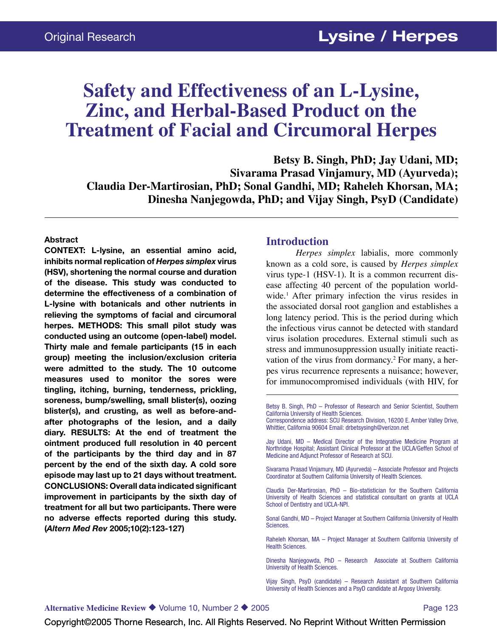# **Safety and Effectiveness of an L-Lysine, Zinc, and Herbal-Based Product on the Treatment of Facial and Circumoral Herpes**

**Betsy B. Singh, PhD; Jay Udani, MD; Sivarama Prasad Vinjamury, MD (Ayurveda); Claudia Der-Martirosian, PhD; Sonal Gandhi, MD; Raheleh Khorsan, MA; Dinesha Nanjegowda, PhD; and Vijay Singh, PsyD (Candidate)**

#### **Abstract**

**CONTEXT: L-lysine, an essential amino acid, inhibits normal replication of** *Herpes simplex* **virus (HSV), shortening the normal course and duration of the disease. This study was conducted to determine the effectiveness of a combination of L-lysine with botanicals and other nutrients in relieving the symptoms of facial and circumoral herpes. METHODS: This small pilot study was conducted using an outcome (open-label) model. Thirty male and female participants (15 in each group) meeting the inclusion/exclusion criteria were admitted to the study. The 10 outcome measures used to monitor the sores were tingling, itching, burning, tenderness, prickling, soreness, bump/swelling, small blister(s), oozing blister(s), and crusting, as well as before-andafter photographs of the lesion, and a daily diary. RESULTS: At the end of treatment the ointment produced full resolution in 40 percent of the participants by the third day and in 87 percent by the end of the sixth day. A cold sore episode may last up to 21 days without treatment. CONCLUSIONS: Overall data indicated significant improvement in participants by the sixth day of treatment for all but two participants. There were no adverse effects reported during this study. (***Altern Med Rev* **2005;10(2):123-127)**

#### **Introduction**

*Herpes simplex* labialis, more commonly known as a cold sore, is caused by *Herpes simplex* virus type-1 (HSV-1). It is a common recurrent disease affecting 40 percent of the population worldwide.1 After primary infection the virus resides in the associated dorsal root ganglion and establishes a long latency period. This is the period during which the infectious virus cannot be detected with standard virus isolation procedures. External stimuli such as stress and immunosuppression usually initiate reactivation of the virus from dormancy.2 For many, a herpes virus recurrence represents a nuisance; however, for immunocompromised individuals (with HIV, for

Betsy B. Singh, PhD – Professor of Research and Senior Scientist, Southern California University of Health Sciences.

Correspondence address: SCU Research Division, 16200 E. Amber Valley Drive, Whittier, California 90604 Email: drbetsysingh@verizon.net

Jay Udani, MD – Medical Director of the Integrative Medicine Program at Northridge Hospital; Assistant Clinical Professor at the UCLA/Geffen School of Medicine and Adjunct Professor of Research at SCU.

Sivarama Prasad Vinjamury, MD (Ayurveda) – Associate Professor and Projects Coordinator at Southern California University of Health Sciences.

Claudia Der-Martirosian, PhD – Bio-statistician for the Southern California University of Health Sciences and statistical consultant on grants at UCLA School of Dentistry and UCLA-NPI.

Sonal Gandhi, MD – Project Manager at Southern California University of Health Sciences.

Raheleh Khorsan, MA – Project Manager at Southern California University of Health Sciences.

Dinesha Nanjegowda, PhD – Research Associate at Southern California University of Health Sciences.

Vijay Singh, PsyD (candidate) – Research Assistant at Southern California University of Health Sciences and a PsyD candidate at Argosy University.

Copyright©2005 Thorne Research, Inc. All Rights Reserved. No Reprint Without Written Permission Copyright©2005 Thorne Research, Inc. All Rights Reserved. No Reprint Without Written Permission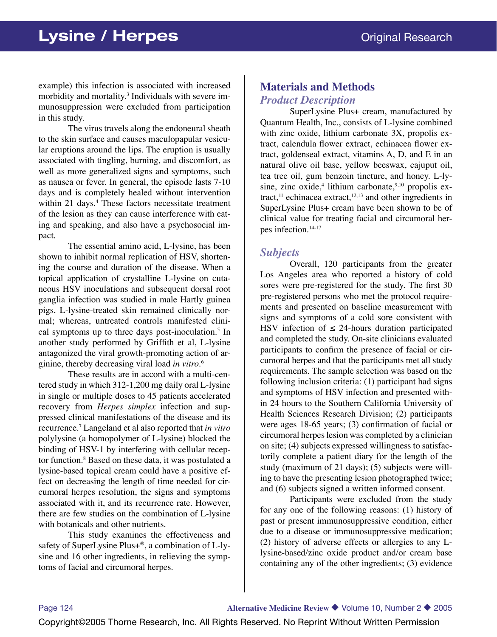example) this infection is associated with increased morbidity and mortality.3 Individuals with severe immunosuppression were excluded from participation in this study.

The virus travels along the endoneural sheath to the skin surface and causes maculopapular vesicular eruptions around the lips. The eruption is usually associated with tingling, burning, and discomfort, as well as more generalized signs and symptoms, such as nausea or fever. In general, the episode lasts 7-10 days and is completely healed without intervention within 21 days.<sup>4</sup> These factors necessitate treatment of the lesion as they can cause interference with eating and speaking, and also have a psychosocial impact.

The essential amino acid, L-lysine, has been shown to inhibit normal replication of HSV, shortening the course and duration of the disease. When a topical application of crystalline L-lysine on cutaneous HSV inoculations and subsequent dorsal root ganglia infection was studied in male Hartly guinea pigs, L-lysine-treated skin remained clinically normal; whereas, untreated controls manifested clinical symptoms up to three days post-inoculation.<sup>5</sup> In another study performed by Griffith et al, L-lysine antagonized the viral growth-promoting action of arginine, thereby decreasing viral load *in vitro*. 6

These results are in accord with a multi-centered study in which 312-1,200 mg daily oral L-lysine in single or multiple doses to 45 patients accelerated recovery from *Herpes simplex* infection and suppressed clinical manifestations of the disease and its recurrence.7 Langeland et al also reported that *in vitro* polylysine (a homopolymer of L-lysine) blocked the binding of HSV-1 by interfering with cellular receptor function.8 Based on these data, it was postulated a lysine-based topical cream could have a positive effect on decreasing the length of time needed for circumoral herpes resolution, the signs and symptoms associated with it, and its recurrence rate. However, there are few studies on the combination of L-lysine with botanicals and other nutrients.

This study examines the effectiveness and safety of SuperLysine Plus+®, a combination of L-lysine and 16 other ingredients, in relieving the symptoms of facial and circumoral herpes.

# **Materials and Methods** *Product Description*

SuperLysine Plus+ cream, manufactured by Quantum Health, Inc., consists of L-lysine combined with zinc oxide, lithium carbonate 3X, propolis extract, calendula flower extract, echinacea flower extract, goldenseal extract, vitamins A, D, and E in an natural olive oil base, yellow beeswax, cajuput oil, tea tree oil, gum benzoin tincture, and honey. L-lysine, zinc oxide,<sup>4</sup> lithium carbonate,<sup>9,10</sup> propolis extract, $^{11}$  echinacea extract, $^{12,13}$  and other ingredients in SuperLysine Plus+ cream have been shown to be of clinical value for treating facial and circumoral herpes infection.14-17

#### *Subjects*

Overall, 120 participants from the greater Los Angeles area who reported a history of cold sores were pre-registered for the study. The first 30 pre-registered persons who met the protocol requirements and presented on baseline measurement with signs and symptoms of a cold sore consistent with HSV infection of  $\leq$  24-hours duration participated and completed the study. On-site clinicians evaluated participants to confirm the presence of facial or circumoral herpes and that the participants met all study requirements. The sample selection was based on the following inclusion criteria: (1) participant had signs and symptoms of HSV infection and presented within 24 hours to the Southern California University of Health Sciences Research Division; (2) participants were ages 18-65 years; (3) confirmation of facial or circumoral herpes lesion was completed by a clinician on site; (4) subjects expressed willingness to satisfactorily complete a patient diary for the length of the study (maximum of 21 days); (5) subjects were willing to have the presenting lesion photographed twice; and (6) subjects signed a written informed consent.

Participants were excluded from the study for any one of the following reasons: (1) history of past or present immunosuppressive condition, either due to a disease or immunosuppressive medication; (2) history of adverse effects or allergies to any Llysine-based/zinc oxide product and/or cream base containing any of the other ingredients; (3) evidence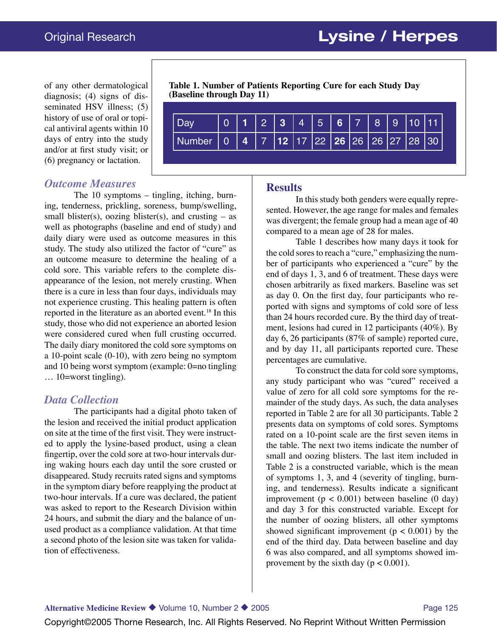of any other dermatological diagnosis; (4) signs of disseminated HSV illness; (5) history of use of oral or topical antiviral agents within 10 days of entry into the study and/or at first study visit; or (6) pregnancy or lactation.

# *Outcome Measures*

The 10 symptoms – tingling, itching, burning, tenderness, prickling, soreness, bump/swelling, small blister(s), oozing blister(s), and crusting  $-$  as well as photographs (baseline and end of study) and daily diary were used as outcome measures in this study. The study also utilized the factor of "cure" as an outcome measure to determine the healing of a cold sore. This variable refers to the complete disappearance of the lesion, not merely crusting. When there is a cure in less than four days, individuals may not experience crusting. This healing pattern is often reported in the literature as an aborted event.<sup>18</sup> In this study, those who did not experience an aborted lesion were considered cured when full crusting occurred. The daily diary monitored the cold sore symptoms on a 10-point scale (0-10), with zero being no symptom and 10 being worst symptom (example: 0=no tingling … 10=worst tingling).

## *Data Collection*

The participants had a digital photo taken of the lesion and received the initial product application on site at the time of the first visit. They were instructed to apply the lysine-based product, using a clean fingertip, over the cold sore at two-hour intervals during waking hours each day until the sore crusted or disappeared. Study recruits rated signs and symptoms in the symptom diary before reapplying the product at two-hour intervals. If a cure was declared, the patient was asked to report to the Research Division within 24 hours, and submit the diary and the balance of unused product as a compliance validation. At that time a second photo of the lesion site was taken for validation of effectiveness.

**Table 1. Number of Patients Reporting Cure for each Study Day (Baseline through Day 11)**

| Dav                                                          |  |  | $0$   1   2   3   4   5   6   7   8   9   10   11 |  |  |  |
|--------------------------------------------------------------|--|--|---------------------------------------------------|--|--|--|
| Number   0   4   7  12  17  22   26   26   26   27   28   30 |  |  |                                                   |  |  |  |

#### **Results**

In this study both genders were equally represented. However, the age range for males and females was divergent; the female group had a mean age of 40 compared to a mean age of 28 for males.

Table 1 describes how many days it took for the cold sores to reach a "cure," emphasizing the number of participants who experienced a "cure" by the end of days 1, 3, and 6 of treatment. These days were chosen arbitrarily as fixed markers. Baseline was set as day 0. On the first day, four participants who reported with signs and symptoms of cold sore of less than 24 hours recorded cure. By the third day of treatment, lesions had cured in 12 participants (40%). By day 6, 26 participants (87% of sample) reported cure, and by day 11, all participants reported cure. These percentages are cumulative.

To construct the data for cold sore symptoms, any study participant who was "cured" received a value of zero for all cold sore symptoms for the remainder of the study days. As such, the data analyses reported in Table 2 are for all 30 participants. Table 2 presents data on symptoms of cold sores. Symptoms rated on a 10-point scale are the first seven items in the table. The next two items indicate the number of small and oozing blisters. The last item included in Table 2 is a constructed variable, which is the mean of symptoms 1, 3, and 4 (severity of tingling, burning, and tenderness). Results indicate a significant improvement ( $p < 0.001$ ) between baseline (0 day) and day 3 for this constructed variable. Except for the number of oozing blisters, all other symptoms showed significant improvement ( $p < 0.001$ ) by the end of the third day. Data between baseline and day 6 was also compared, and all symptoms showed improvement by the sixth day ( $p < 0.001$ ).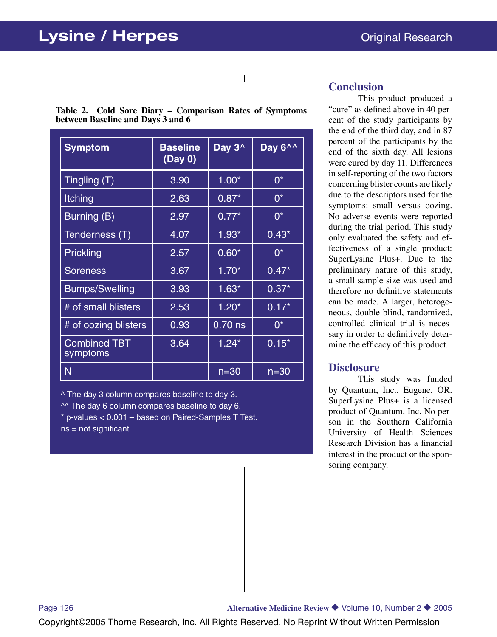**Table 2. Cold Sore Diary – Comparison Rates of Symptoms between Baseline and Days 3 and 6**

| <b>Symptom</b>                  | <b>Baseline</b><br>(Day 0) | Day 3 <sup>^</sup> | Day 6^^  |
|---------------------------------|----------------------------|--------------------|----------|
| Tingling $\overline{(T)}$       | 3.90                       | $1.00*$            | $0^*$    |
| Itching                         | 2.63                       | $0.87*$            | $0^*$    |
| <b>Burning (B)</b>              | 2.97                       | $0.77*$            | $0^*$    |
| Tenderness (T)                  | 4.07                       | $1.93*$            | $0.43*$  |
| Prickling                       | 2.57                       | $0.60*$            | $0^*$    |
| <b>Soreness</b>                 | 3.67                       | $1.70*$            | $0.47*$  |
| <b>Bumps/Swelling</b>           | 3.93                       | $1.63*$            | $0.37*$  |
| # of small blisters             | 2.53                       | $1.20*$            | $0.17*$  |
| # of oozing blisters            | 0.93                       | $0.70$ ns          | $0^*$    |
| <b>Combined TBT</b><br>symptoms | 3.64                       | $1.24*$            | $0.15*$  |
| N                               |                            | $n = 30$           | $n = 30$ |

^ The day 3 column compares baseline to day 3.  $\sim$  The day 6 column compares baseline to day 6. \* p-values < 0.001 – based on Paired-Samples T Test. ns = not significant

### **Conclusion**

This product produced a "cure" as defined above in 40 percent of the study participants by the end of the third day, and in 87 percent of the participants by the end of the sixth day. All lesions were cured by day 11. Differences in self-reporting of the two factors concerning blister counts are likely due to the descriptors used for the symptoms: small versus oozing. No adverse events were reported during the trial period. This study only evaluated the safety and effectiveness of a single product: SuperLysine Plus+. Due to the preliminary nature of this study, a small sample size was used and therefore no definitive statements can be made. A larger, heterogeneous, double-blind, randomized, controlled clinical trial is necessary in order to definitively determine the efficacy of this product.

## **Disclosure**

This study was funded by Quantum, Inc., Eugene, OR. SuperLysine Plus+ is a licensed product of Quantum, Inc. No person in the Southern California University of Health Sciences Research Division has a financial interest in the product or the sponsoring company.